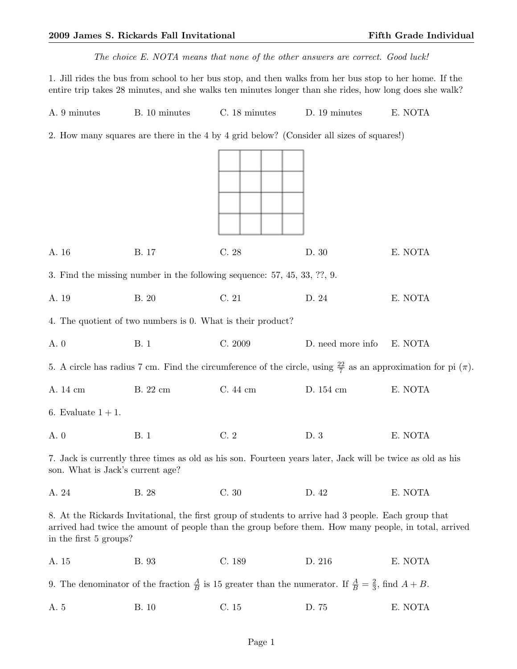The choice E. NOTA means that none of the other answers are correct. Good luck!

1. Jill rides the bus from school to her bus stop, and then walks from her bus stop to her home. If the entire trip takes 28 minutes, and she walks ten minutes longer than she rides, how long does she walk?

| A. 9 minutes<br>B. 10 minutes<br>C. 18 minutes<br>D. 19 minutes |  |  |  |  | E. NOTA |
|-----------------------------------------------------------------|--|--|--|--|---------|
|-----------------------------------------------------------------|--|--|--|--|---------|

2. How many squares are there in the 4 by 4 grid below? (Consider all sizes of squares!)

| A. 16                                                                                                                                                                                                                                   | B. 17                                                                       | C.28        | D. 30             | E. NOTA                                                                                                                      |  |
|-----------------------------------------------------------------------------------------------------------------------------------------------------------------------------------------------------------------------------------------|-----------------------------------------------------------------------------|-------------|-------------------|------------------------------------------------------------------------------------------------------------------------------|--|
|                                                                                                                                                                                                                                         | 3. Find the missing number in the following sequence: $57, 45, 33, ?$ ?, 9. |             |                   |                                                                                                                              |  |
| A. 19                                                                                                                                                                                                                                   | <b>B.</b> 20                                                                | $\rm C.~21$ | D. 24             | E. NOTA                                                                                                                      |  |
|                                                                                                                                                                                                                                         | 4. The quotient of two numbers is 0. What is their product?                 |             |                   |                                                                                                                              |  |
| A. 0                                                                                                                                                                                                                                    | <b>B.</b> 1                                                                 | C. 2009     | D. need more info | E. NOTA                                                                                                                      |  |
|                                                                                                                                                                                                                                         |                                                                             |             |                   | 5. A circle has radius 7 cm. Find the circumference of the circle, using $\frac{22}{7}$ as an approximation for pi $(\pi)$ . |  |
| A. 14 cm                                                                                                                                                                                                                                | B. 22 cm                                                                    | C. 44 cm    | D. 154 cm         | E. NOTA                                                                                                                      |  |
| 6. Evaluate $1+1$ .                                                                                                                                                                                                                     |                                                                             |             |                   |                                                                                                                              |  |
| A. 0                                                                                                                                                                                                                                    | <b>B.</b> 1                                                                 | C.2         | D. 3              | E. NOTA                                                                                                                      |  |
| 7. Jack is currently three times as old as his son. Fourteen years later, Jack will be twice as old as his<br>son. What is Jack's current age?                                                                                          |                                                                             |             |                   |                                                                                                                              |  |
| A. 24                                                                                                                                                                                                                                   | B. 28                                                                       | C.30        | D. 42             | E. NOTA                                                                                                                      |  |
| 8. At the Rickards Invitational, the first group of students to arrive had 3 people. Each group that<br>arrived had twice the amount of people than the group before them. How many people, in total, arrived<br>in the first 5 groups? |                                                                             |             |                   |                                                                                                                              |  |
| A. 15                                                                                                                                                                                                                                   | B. 93                                                                       | C. 189      | D. 216            | E. NOTA                                                                                                                      |  |
| 9. The denominator of the fraction $\frac{A}{B}$ is 15 greater than the numerator. If $\frac{A}{B} = \frac{2}{3}$ , find $A + B$ .                                                                                                      |                                                                             |             |                   |                                                                                                                              |  |
| A. 5                                                                                                                                                                                                                                    | <b>B.</b> 10                                                                | $\rm C.~15$ | D. 75             | E. NOTA                                                                                                                      |  |
|                                                                                                                                                                                                                                         |                                                                             |             |                   |                                                                                                                              |  |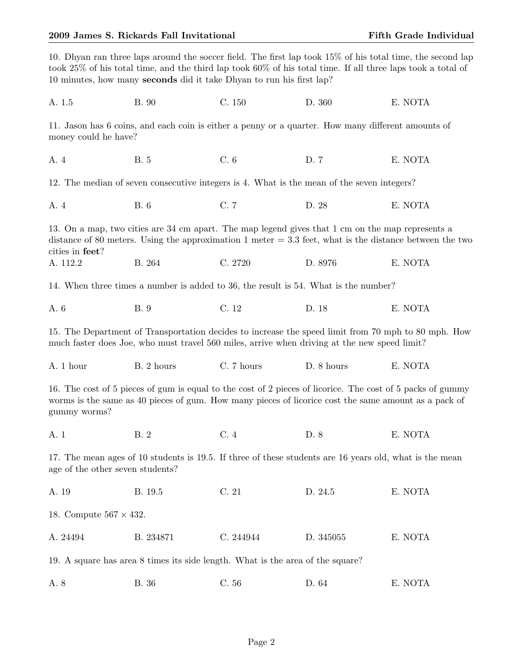| 10. Dhyan ran three laps around the soccer field. The first lap took 15% of his total time, the second lap<br>took 25% of his total time, and the third lap took 60% of his total time. If all three laps took a total of<br>10 minutes, how many seconds did it take Dhyan to run his first lap? |                                                                                                  |            |            |                                                                                                           |  |
|---------------------------------------------------------------------------------------------------------------------------------------------------------------------------------------------------------------------------------------------------------------------------------------------------|--------------------------------------------------------------------------------------------------|------------|------------|-----------------------------------------------------------------------------------------------------------|--|
| A. 1.5                                                                                                                                                                                                                                                                                            | <b>B.</b> 90                                                                                     | C. 150     | D. 360     | E. NOTA                                                                                                   |  |
| 11. Jason has 6 coins, and each coin is either a penny or a quarter. How many different amounts of<br>money could be have?                                                                                                                                                                        |                                                                                                  |            |            |                                                                                                           |  |
| A. 4                                                                                                                                                                                                                                                                                              | <b>B.</b> 5                                                                                      | C.6        | D. 7       | E. NOTA                                                                                                   |  |
|                                                                                                                                                                                                                                                                                                   | 12. The median of seven consecutive integers is 4. What is the mean of the seven integers?       |            |            |                                                                                                           |  |
| A. 4                                                                                                                                                                                                                                                                                              | <b>B.</b> 6                                                                                      | C. 7       | D. 28      | E. NOTA                                                                                                   |  |
| cities in feet?                                                                                                                                                                                                                                                                                   | 13. On a map, two cities are 34 cm apart. The map legend gives that 1 cm on the map represents a |            |            | distance of 80 meters. Using the approximation 1 meter $=$ 3.3 feet, what is the distance between the two |  |
| A. 112.2                                                                                                                                                                                                                                                                                          | B. 264                                                                                           | C. 2720    | D. 8976    | E. NOTA                                                                                                   |  |
|                                                                                                                                                                                                                                                                                                   | 14. When three times a number is added to 36, the result is 54. What is the number?              |            |            |                                                                                                           |  |
| A. 6                                                                                                                                                                                                                                                                                              | <b>B.</b> 9                                                                                      | C. 12      | D. 18      | E. NOTA                                                                                                   |  |
| 15. The Department of Transportation decides to increase the speed limit from 70 mph to 80 mph. How<br>much faster does Joe, who must travel 560 miles, arrive when driving at the new speed limit?                                                                                               |                                                                                                  |            |            |                                                                                                           |  |
| A. 1 hour                                                                                                                                                                                                                                                                                         | B. 2 hours                                                                                       | C. 7 hours | D. 8 hours | E. NOTA                                                                                                   |  |
| 16. The cost of 5 pieces of gum is equal to the cost of 2 pieces of licorice. The cost of 5 packs of gummy<br>worms is the same as 40 pieces of gum. How many pieces of licorice cost the same amount as a pack of<br>gummy worms?                                                                |                                                                                                  |            |            |                                                                                                           |  |
| A. 1                                                                                                                                                                                                                                                                                              | B. 2                                                                                             | C.4        | D. 8       | E. NOTA                                                                                                   |  |
| 17. The mean ages of 10 students is 19.5. If three of these students are 16 years old, what is the mean<br>age of the other seven students?                                                                                                                                                       |                                                                                                  |            |            |                                                                                                           |  |
| A. 19                                                                                                                                                                                                                                                                                             | B. 19.5                                                                                          | C. 21      | D. 24.5    | E. NOTA                                                                                                   |  |
| 18. Compute $567 \times 432$ .                                                                                                                                                                                                                                                                    |                                                                                                  |            |            |                                                                                                           |  |
| A. 24494                                                                                                                                                                                                                                                                                          | B. 234871                                                                                        | C. 244944  | D. 345055  | E. NOTA                                                                                                   |  |
| 19. A square has area 8 times its side length. What is the area of the square?                                                                                                                                                                                                                    |                                                                                                  |            |            |                                                                                                           |  |
| A. 8                                                                                                                                                                                                                                                                                              | B. 36                                                                                            | C.56       | D. 64      | E. NOTA                                                                                                   |  |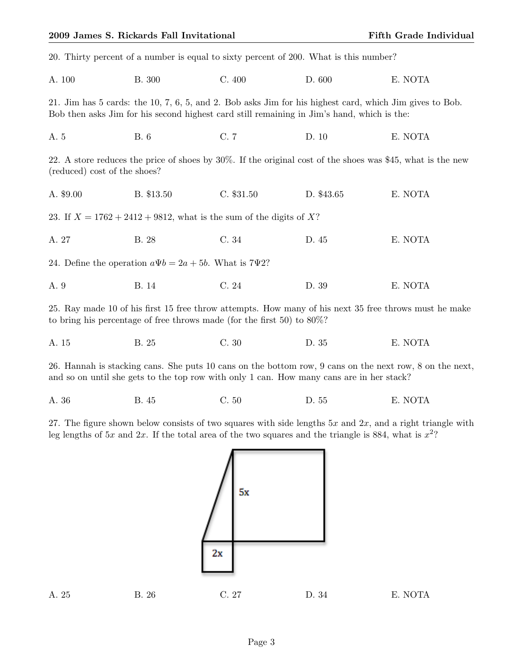|                                                                       | 20. Thirty percent of a number is equal to sixty percent of 200. What is this number?                                                                                                                 |              |            |                                                                                                            |  |  |
|-----------------------------------------------------------------------|-------------------------------------------------------------------------------------------------------------------------------------------------------------------------------------------------------|--------------|------------|------------------------------------------------------------------------------------------------------------|--|--|
| A. 100                                                                | <b>B.</b> 300                                                                                                                                                                                         | C.400        | D. 600     | E. NOTA                                                                                                    |  |  |
|                                                                       | 21. Jim has 5 cards: the 10, 7, 6, 5, and 2. Bob asks Jim for his highest card, which Jim gives to Bob.<br>Bob then asks Jim for his second highest card still remaining in Jim's hand, which is the: |              |            |                                                                                                            |  |  |
| A. 5                                                                  | <b>B.</b> 6                                                                                                                                                                                           | C. 7         | D. 10      | E. NOTA                                                                                                    |  |  |
| (reduced) cost of the shoes?                                          |                                                                                                                                                                                                       |              |            | 22. A store reduces the price of shoes by 30%. If the original cost of the shoes was \$45, what is the new |  |  |
| A. \$9.00                                                             | B. \$13.50                                                                                                                                                                                            | $C.$ \$31.50 | D. \$43.65 | E. NOTA                                                                                                    |  |  |
| 23. If $X = 1762 + 2412 + 9812$ , what is the sum of the digits of X? |                                                                                                                                                                                                       |              |            |                                                                                                            |  |  |
| A. 27                                                                 | <b>B.</b> 28                                                                                                                                                                                          | C. 34        | D. 45      | E. NOTA                                                                                                    |  |  |
| 24. Define the operation $a\Psi b = 2a + 5b$ . What is 7 $\Psi$ 2?    |                                                                                                                                                                                                       |              |            |                                                                                                            |  |  |
| A. 9                                                                  | <b>B.</b> 14                                                                                                                                                                                          | C.24         | D. 39      | E. NOTA                                                                                                    |  |  |
|                                                                       | to bring his percentage of free throws made (for the first 50) to $80\%$ ?                                                                                                                            |              |            | 25. Ray made 10 of his first 15 free throw attempts. How many of his next 35 free throws must he make      |  |  |
| A. 15                                                                 | B. 25                                                                                                                                                                                                 | C.30         | D. 35      | E. NOTA                                                                                                    |  |  |

26. Hannah is stacking cans. She puts 10 cans on the bottom row, 9 cans on the next row, 8 on the next, and so on until she gets to the top row with only 1 can. How many cans are in her stack?

| D. 55<br>A. 36<br>C.50<br>B. 45 | E. NOTA |
|---------------------------------|---------|
|---------------------------------|---------|

27. The figure shown below consists of two squares with side lengths  $5x$  and  $2x$ , and a right triangle with leg lengths of  $5x$  and  $2x$ . If the total area of the two squares and the triangle is 884, what is  $x^2$ ?